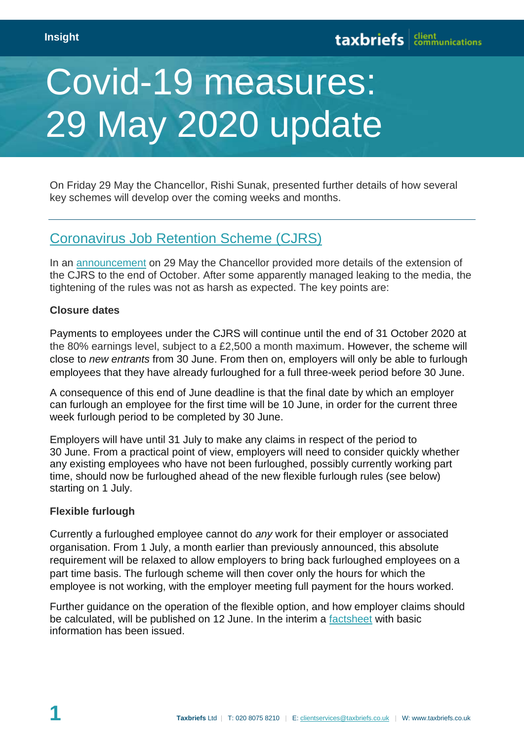# Covid-19 measures: 29 May 2020 update

On Friday 29 May the Chancellor, Rishi Sunak, presented further details of how several key schemes will develop over the coming weeks and months.

## [Coronavirus Job Retention Scheme \(CJRS\)](https://www.gov.uk/guidance/claim-for-wages-through-the-coronavirus-job-retention-scheme)

In an [announcement](https://www.gov.uk/government/speeches/chancellors-statement-on-coronavirus-covid-19-29-may-2020) on 29 May the Chancellor provided more details of the extension of the CJRS to the end of October. After some apparently managed leaking to the media, the tightening of the rules was not as harsh as expected. The key points are:

#### **Closure dates**

Payments to employees under the CJRS will continue until the end of 31 October 2020 at the 80% earnings level, subject to a £2,500 a month maximum. However, the scheme will close to *new entrants* from 30 June. From then on, employers will only be able to furlough employees that they have already furloughed for a full three-week period before 30 June.

A consequence of this end of June deadline is that the final date by which an employer can furlough an employee for the first time will be 10 June, in order for the current three week furlough period to be completed by 30 June.

Employers will have until 31 July to make any claims in respect of the period to 30 June. From a practical point of view, employers will need to consider quickly whether any existing employees who have not been furloughed, possibly currently working part time, should now be furloughed ahead of the new flexible furlough rules (see below) starting on 1 July.

#### **Flexible furlough**

Currently a furloughed employee cannot do *any* work for their employer or associated organisation. From 1 July, a month earlier than previously announced, this absolute requirement will be relaxed to allow employers to bring back furloughed employees on a part time basis. The furlough scheme will then cover only the hours for which the employee is not working, with the employer meeting full payment for the hours worked.

Further guidance on the operation of the flexible option, and how employer claims should be calculated, will be published on 12 June. In the interim a [factsheet](https://assets.publishing.service.gov.uk/government/uploads/system/uploads/attachment_data/file/888764/Factsheet_for_SEISS_and_CJRS_schemes.pdf) with basic information has been issued.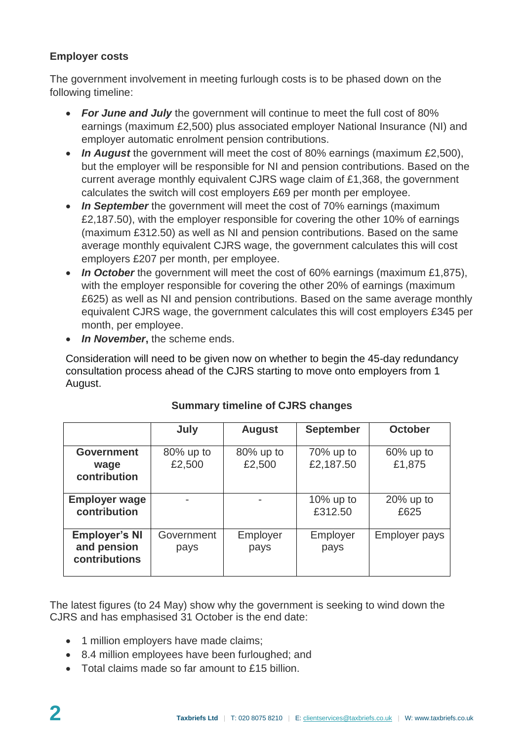## **Employer costs**

The government involvement in meeting furlough costs is to be phased down on the following timeline:

- *For June and July* the government will continue to meet the full cost of 80% earnings (maximum £2,500) plus associated employer National Insurance (NI) and employer automatic enrolment pension contributions.
- *In August* the government will meet the cost of 80% earnings (maximum £2,500), but the employer will be responsible for NI and pension contributions. Based on the current average monthly equivalent CJRS wage claim of £1,368, the government calculates the switch will cost employers £69 per month per employee.
- *In September* the government will meet the cost of 70% earnings (maximum £2,187.50), with the employer responsible for covering the other 10% of earnings (maximum £312.50) as well as NI and pension contributions. Based on the same average monthly equivalent CJRS wage, the government calculates this will cost employers £207 per month, per employee.
- In October the government will meet the cost of 60% earnings (maximum £1,875), with the employer responsible for covering the other 20% of earnings (maximum £625) as well as NI and pension contributions. Based on the same average monthly equivalent CJRS wage, the government calculates this will cost employers £345 per month, per employee.
- *In November***,** the scheme ends.

Consideration will need to be given now on whether to begin the 45-day redundancy consultation process ahead of the CJRS starting to move onto employers from 1 August.

|                                                      | July                | <b>August</b>          | <b>September</b>          | <b>October</b>         |
|------------------------------------------------------|---------------------|------------------------|---------------------------|------------------------|
| <b>Government</b><br>wage<br>contribution            | 80% up to<br>£2,500 | $80\%$ up to<br>£2,500 | $70\%$ up to<br>£2,187.50 | $60\%$ up to<br>£1,875 |
| <b>Employer wage</b><br>contribution                 |                     |                        | 10% up to<br>£312.50      | $20\%$ up to<br>£625   |
| <b>Employer's NI</b><br>and pension<br>contributions | Government<br>pays  | Employer<br>pays       | Employer<br>pays          | <b>Employer pays</b>   |

## **Summary timeline of CJRS changes**

The latest figures (to 24 May) show why the government is seeking to wind down the CJRS and has emphasised 31 October is the end date:

- 1 million employers have made claims;
- 8.4 million employees have been furloughed; and
- Total claims made so far amount to £15 billion.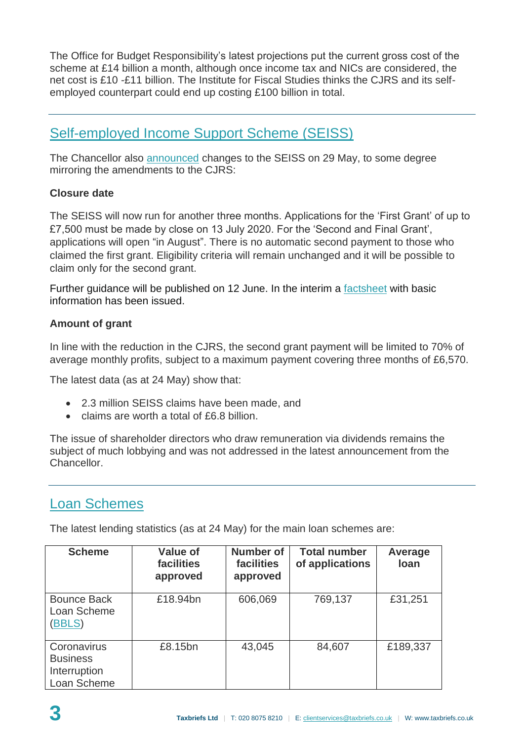The Office for Budget Responsibility's latest projections put the current gross cost of the scheme at £14 billion a month, although once income tax and NICs are considered, the net cost is £10 -£11 billion. The Institute for Fiscal Studies thinks the CJRS and its selfemployed counterpart could end up costing £100 billion in total.

# [Self-employed Income Support Scheme \(SEISS\)](https://www.gov.uk/guidance/claim-a-grant-through-the-coronavirus-covid-19-self-employment-income-support-scheme)

The Chancellor also [announced](https://www.gov.uk/government/speeches/chancellors-statement-on-coronavirus-covid-19-29-may-2020) changes to the SEISS on 29 May, to some degree mirroring the amendments to the CJRS:

## **Closure date**

The SEISS will now run for another three months. Applications for the 'First Grant' of up to £7,500 must be made by close on 13 July 2020. For the 'Second and Final Grant', applications will open "in August". There is no automatic second payment to those who claimed the first grant. Eligibility criteria will remain unchanged and it will be possible to claim only for the second grant.

Further guidance will be published on 12 June. In the interim a [factsheet](https://assets.publishing.service.gov.uk/government/uploads/system/uploads/attachment_data/file/888764/Factsheet_for_SEISS_and_CJRS_schemes.pdf) with basic information has been issued.

## **Amount of grant**

In line with the reduction in the CJRS, the second grant payment will be limited to 70% of average monthly profits, subject to a maximum payment covering three months of £6,570.

The latest data (as at 24 May) show that:

- 2.3 million SEISS claims have been made, and
- claims are worth a total of £6.8 billion.

The issue of shareholder directors who draw remuneration via dividends remains the subject of much lobbying and was not addressed in the latest announcement from the Chancellor.

# [Loan Schemes](https://www.british-business-bank.co.uk/ourpartners/coronavirus-business-interruption-loan-schemes/future-fund/)

The latest lending statistics (as at 24 May) for the main loan schemes are:

| <b>Scheme</b>                                                 | <b>Value of</b><br><b>facilities</b><br>approved | <b>Number of</b><br><b>facilities</b><br>approved | <b>Total number</b><br>of applications | Average<br>loan |
|---------------------------------------------------------------|--------------------------------------------------|---------------------------------------------------|----------------------------------------|-----------------|
| <b>Bounce Back</b><br>Loan Scheme<br>(BBLS)                   | £18.94bn                                         | 606,069                                           | 769,137                                | £31,251         |
| Coronavirus<br><b>Business</b><br>Interruption<br>Loan Scheme | £8.15bn                                          | 43,045                                            | 84,607                                 | £189,337        |